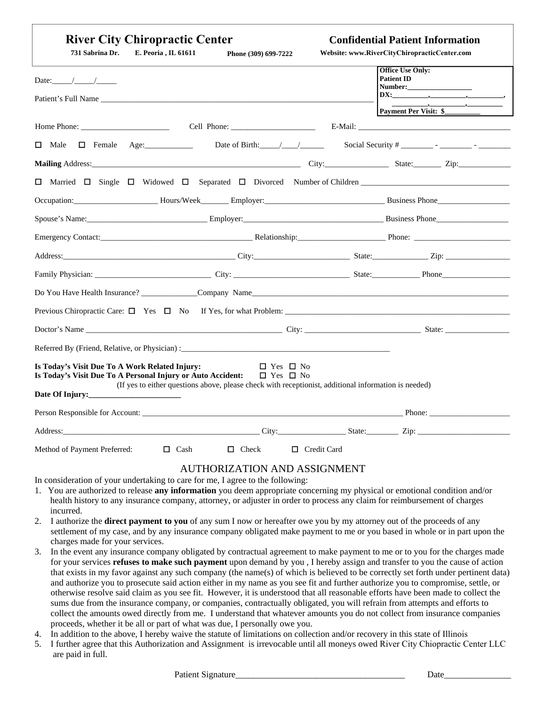| <b>River City Chiropractic Center</b>                                                                                                                                                                                         |                                                                                                                              |                    | <b>Confidential Patient Information</b>                                                                                                                                                                                                  |
|-------------------------------------------------------------------------------------------------------------------------------------------------------------------------------------------------------------------------------|------------------------------------------------------------------------------------------------------------------------------|--------------------|------------------------------------------------------------------------------------------------------------------------------------------------------------------------------------------------------------------------------------------|
| 731 Sabrina Dr.<br>E. Peoria, IL 61611                                                                                                                                                                                        | Phone (309) 699-7222                                                                                                         |                    | Website: www.RiverCityChiropracticCenter.com                                                                                                                                                                                             |
| Date: $\angle$ / /                                                                                                                                                                                                            |                                                                                                                              |                    | <b>Office Use Only:</b><br><b>Patient ID</b><br>$DX:\qquad \qquad ,\qquad \qquad ,\qquad \qquad ,$<br>$\mathbf{A}$ and $\mathbf{A}$ are all $\mathbf{A}$ and $\mathbf{A}$ are all $\mathbf{A}$ and $\mathbf{A}$<br>Payment Per Visit: \$ |
| Home Phone: Cell Phone: Cell Phone: E-Mail: Cell Phone: E-Mail:                                                                                                                                                               |                                                                                                                              |                    |                                                                                                                                                                                                                                          |
| $\Box$ Male                                                                                                                                                                                                                   |                                                                                                                              |                    |                                                                                                                                                                                                                                          |
|                                                                                                                                                                                                                               |                                                                                                                              |                    |                                                                                                                                                                                                                                          |
|                                                                                                                                                                                                                               |                                                                                                                              |                    |                                                                                                                                                                                                                                          |
|                                                                                                                                                                                                                               |                                                                                                                              |                    |                                                                                                                                                                                                                                          |
|                                                                                                                                                                                                                               |                                                                                                                              |                    |                                                                                                                                                                                                                                          |
| Emergency Contact: Relationship: Relationship: Phone: Phone: Phone: Phone: Phone: Phone: Phone: Phone: Phone: Phone: Phone: Phone: Phone: Phone: Phone: Phone: Phone: Phone: Phone: Phone: Phone: Phone: Phone: Phone: Phone: |                                                                                                                              |                    |                                                                                                                                                                                                                                          |
|                                                                                                                                                                                                                               |                                                                                                                              |                    |                                                                                                                                                                                                                                          |
|                                                                                                                                                                                                                               |                                                                                                                              |                    |                                                                                                                                                                                                                                          |
|                                                                                                                                                                                                                               |                                                                                                                              |                    |                                                                                                                                                                                                                                          |
|                                                                                                                                                                                                                               |                                                                                                                              |                    |                                                                                                                                                                                                                                          |
|                                                                                                                                                                                                                               |                                                                                                                              |                    |                                                                                                                                                                                                                                          |
|                                                                                                                                                                                                                               |                                                                                                                              |                    |                                                                                                                                                                                                                                          |
| Is Today's Visit Due To A Work Related Injury:<br>Is Today's Visit Due To A Personal Injury or Auto Accident: □ Yes □ No                                                                                                      | $\Box$ Yes $\Box$ No<br>(If yes to either questions above, please check with receptionist, additional information is needed) |                    |                                                                                                                                                                                                                                          |
|                                                                                                                                                                                                                               |                                                                                                                              |                    |                                                                                                                                                                                                                                          |
|                                                                                                                                                                                                                               |                                                                                                                              |                    |                                                                                                                                                                                                                                          |
| Address: <u>City: State:</u> Zip: <u>City: State: Zip:</u> Zip: 2.1.                                                                                                                                                          |                                                                                                                              |                    |                                                                                                                                                                                                                                          |
| Method of Payment Preferred:<br>$\Box$ Cash                                                                                                                                                                                   | $\Box$ Check                                                                                                                 | $\Box$ Credit Card |                                                                                                                                                                                                                                          |

### AUTHORIZATION AND ASSIGNMENT

In consideration of your undertaking to care for me, I agree to the following:

- 1. You are authorized to release **any information** you deem appropriate concerning my physical or emotional condition and/or health history to any insurance company, attorney, or adjuster in order to process any claim for reimbursement of charges incurred.
- 2. I authorize the **direct payment to you** of any sum I now or hereafter owe you by my attorney out of the proceeds of any settlement of my case, and by any insurance company obligated make payment to me or you based in whole or in part upon the charges made for your services.
- 3. In the event any insurance company obligated by contractual agreement to make payment to me or to you for the charges made for your services **refuses to make such payment** upon demand by you , I hereby assign and transfer to you the cause of action that exists in my favor against any such company (the name(s) of which is believed to be correctly set forth under pertinent data) and authorize you to prosecute said action either in my name as you see fit and further authorize you to compromise, settle, or otherwise resolve said claim as you see fit. However, it is understood that all reasonable efforts have been made to collect the sums due from the insurance company, or companies, contractually obligated, you will refrain from attempts and efforts to collect the amounts owed directly from me. I understand that whatever amounts you do not collect from insurance companies proceeds, whether it be all or part of what was due, I personally owe you.
- 4. In addition to the above, I hereby waive the statute of limitations on collection and/or recovery in this state of Illinois
- 5. I further agree that this Authorization and Assignment is irrevocable until all moneys owed River City Chiopractic Center LLC are paid in full.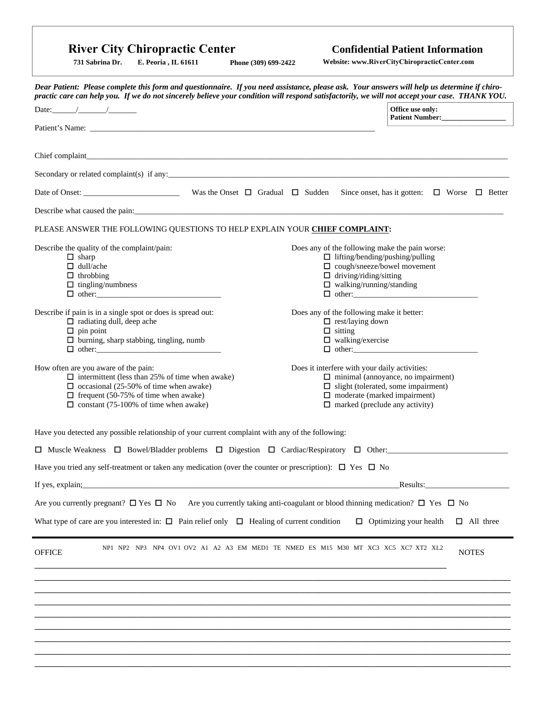| <b>River City Chiropractic Center</b><br>731 Sabrina Dr.<br>E. Peoria, IL 61611<br>Phone (309) 699-2422                                                                                                                                                                                        | <b>Confidential Patient Information</b><br>Website: www.RiverCityChiropracticCenter.com                                                                                                                                  |
|------------------------------------------------------------------------------------------------------------------------------------------------------------------------------------------------------------------------------------------------------------------------------------------------|--------------------------------------------------------------------------------------------------------------------------------------------------------------------------------------------------------------------------|
| Dear Patient: Please complete this form and questionnaire. If you need assistance, please ask. Your answers will help us determine if chiro-<br>practic care can help you. If we do not sincerely believe your condition will respond satisfactorily, we will not accept your case. THANK YOU. | Office use only:                                                                                                                                                                                                         |
|                                                                                                                                                                                                                                                                                                |                                                                                                                                                                                                                          |
| Secondary or related complaint(s) if any: $\frac{1}{2}$ if any: $\frac{1}{2}$ if any: $\frac{1}{2}$ if any:                                                                                                                                                                                    |                                                                                                                                                                                                                          |
|                                                                                                                                                                                                                                                                                                |                                                                                                                                                                                                                          |
|                                                                                                                                                                                                                                                                                                |                                                                                                                                                                                                                          |
| PLEASE ANSWER THE FOLLOWING QUESTIONS TO HELP EXPLAIN YOUR CHIEF COMPLAINT:                                                                                                                                                                                                                    |                                                                                                                                                                                                                          |
| Describe the quality of the complaint/pain:<br>$\Box$ sharp<br>$\Box$ dull/ache<br>$\Box$ throbbing<br>$\Box$ tingling/numbness                                                                                                                                                                | Does any of the following make the pain worse:<br>$\Box$ lifting/bending/pushing/pulling<br>cough/sneeze/bowel movement<br>$\Box$ driving/riding/sitting<br>$\Box$ walking/running/standing                              |
| Describe if pain is in a single spot or does is spread out:<br>$\Box$ radiating dull, deep ache<br>$\Box$ pin point<br>$\Box$ burning, sharp stabbing, tingling, numb<br>$\Box$ other:                                                                                                         | Does any of the following make it better:<br>$\Box$ rest/laying down<br>$\Box$ sitting<br>$\Box$ walking/exercise<br>$\Box$ other:                                                                                       |
| How often are you aware of the pain:<br>$\Box$ intermittent (less than 25% of time when awake)<br>$\Box$ occasional (25-50% of time when awake)<br>$\Box$ frequent (50-75% of time when awake)<br>$\Box$ constant (75-100% of time when awake)                                                 | Does it interfere with your daily activities:<br>$\Box$ minimal (annoyance, no impairment)<br>$\Box$ slight (tolerated, some impairment)<br>$\Box$ moderate (marked impairment)<br>$\Box$ marked (preclude any activity) |
| Have you detected any possible relationship of your current complaint with any of the following:                                                                                                                                                                                               |                                                                                                                                                                                                                          |
| $\Box$ Muscle Weakness $\Box$ Bowel/Bladder problems $\Box$ Digestion $\Box$ Cardiac/Respiratory $\Box$ Other:                                                                                                                                                                                 |                                                                                                                                                                                                                          |
| Have you tried any self-treatment or taken any medication (over the counter or prescription): $\Box$ Yes $\Box$ No                                                                                                                                                                             |                                                                                                                                                                                                                          |
|                                                                                                                                                                                                                                                                                                | Results:                                                                                                                                                                                                                 |
| Are you currently pregnant? $\Box$ Yes $\Box$ No Are you currently taking anti-coagulant or blood thinning medication? $\Box$ Yes $\Box$ No                                                                                                                                                    |                                                                                                                                                                                                                          |
| What type of care are you interested in: $\Box$ Pain relief only $\Box$ Healing of current condition                                                                                                                                                                                           | $\Box$ Optimizing your health<br>$\Box$ All three                                                                                                                                                                        |
| NP1 NP2 NP3 NP4 OV1 OV2 A1 A2 A3 EM MED1 TE NMED ES M15 M30 MT XC3 XC5 XC7 XT2 XL2<br><b>OFFICE</b>                                                                                                                                                                                            | <b>NOTES</b>                                                                                                                                                                                                             |
|                                                                                                                                                                                                                                                                                                |                                                                                                                                                                                                                          |
|                                                                                                                                                                                                                                                                                                |                                                                                                                                                                                                                          |
|                                                                                                                                                                                                                                                                                                |                                                                                                                                                                                                                          |
|                                                                                                                                                                                                                                                                                                |                                                                                                                                                                                                                          |
|                                                                                                                                                                                                                                                                                                |                                                                                                                                                                                                                          |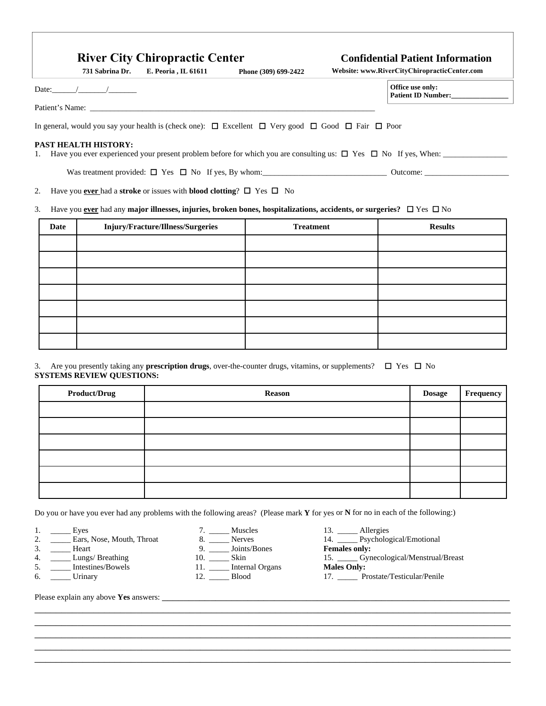|                                                                                                                                                          |                 | <b>River City Chiropractic Center</b>                                                                                       |                      |  | <b>Confidential Patient Information</b>                       |
|----------------------------------------------------------------------------------------------------------------------------------------------------------|-----------------|-----------------------------------------------------------------------------------------------------------------------------|----------------------|--|---------------------------------------------------------------|
|                                                                                                                                                          | 731 Sabrina Dr. | E. Peoria, IL 61611                                                                                                         | Phone (309) 699-2422 |  | Website: www.RiverCityChiropracticCenter.com                  |
|                                                                                                                                                          | Date: $/$ /     |                                                                                                                             |                      |  | Office use only:                                              |
|                                                                                                                                                          |                 |                                                                                                                             |                      |  |                                                               |
|                                                                                                                                                          |                 | In general, would you say your health is (check one): $\Box$ Excellent $\Box$ Very good $\Box$ Good $\Box$ Fair $\Box$ Poor |                      |  |                                                               |
| <b>PAST HEALTH HISTORY:</b><br>Have you ever experienced your present problem before for which you are consulting us: $\Box$ Yes $\Box$ No If yes, When: |                 |                                                                                                                             |                      |  |                                                               |
|                                                                                                                                                          |                 |                                                                                                                             |                      |  | Was treatment provided: $\Box$ Yes $\Box$ No If yes, By whom: |
| Have you ever had a stroke or issues with blood clotting? $\square$ Yes $\square$ No<br>2.                                                               |                 |                                                                                                                             |                      |  |                                                               |
| Have you ever had any major illnesses, injuries, broken bones, hospitalizations, accidents, or surgeries? $\Box$ Yes $\Box$ No<br>3.                     |                 |                                                                                                                             |                      |  |                                                               |
| Date                                                                                                                                                     |                 | Injury/Fracture/Illness/Surgeries                                                                                           | <b>Treatment</b>     |  | <b>Results</b>                                                |
|                                                                                                                                                          |                 |                                                                                                                             |                      |  |                                                               |
|                                                                                                                                                          |                 |                                                                                                                             |                      |  |                                                               |
|                                                                                                                                                          |                 |                                                                                                                             |                      |  |                                                               |
|                                                                                                                                                          |                 |                                                                                                                             |                      |  |                                                               |

3. Are you presently taking any **prescription drugs**, over-the-counter drugs, vitamins, or supplements?  $\Box$  Yes  $\Box$  No **SYSTEMS REVIEW QUESTIONS:**

| <b>Product/Drug</b> | Reason | <b>Dosage</b> | Frequency |
|---------------------|--------|---------------|-----------|
|                     |        |               |           |
|                     |        |               |           |
|                     |        |               |           |
|                     |        |               |           |
|                     |        |               |           |
|                     |        |               |           |

\_\_\_\_\_\_\_\_\_\_\_\_\_\_\_\_\_\_\_\_\_\_\_\_\_\_\_\_\_\_\_\_\_\_\_\_\_\_\_\_\_\_\_\_\_\_\_\_\_\_\_\_\_\_\_\_\_\_\_\_\_\_\_\_\_\_\_\_\_\_\_\_\_\_\_\_\_\_\_\_\_\_\_\_\_\_\_\_\_ \_\_\_\_\_\_\_\_\_\_\_\_\_\_\_\_\_\_\_\_\_\_\_\_\_\_\_\_\_\_\_\_\_\_\_\_\_\_\_\_\_\_\_\_\_\_\_\_\_\_\_\_\_\_\_\_\_\_\_\_\_\_\_\_\_\_\_\_\_\_\_\_\_\_\_\_\_\_\_\_\_\_\_\_\_\_\_\_\_ \_\_\_\_\_\_\_\_\_\_\_\_\_\_\_\_\_\_\_\_\_\_\_\_\_\_\_\_\_\_\_\_\_\_\_\_\_\_\_\_\_\_\_\_\_\_\_\_\_\_\_\_\_\_\_\_\_\_\_\_\_\_\_\_\_\_\_\_\_\_\_\_\_\_\_\_\_\_\_\_\_\_\_\_\_\_\_\_\_ \_\_\_\_\_\_\_\_\_\_\_\_\_\_\_\_\_\_\_\_\_\_\_\_\_\_\_\_\_\_\_\_\_\_\_\_\_\_\_\_\_\_\_\_\_\_\_\_\_\_\_\_\_\_\_\_\_\_\_\_\_\_\_\_\_\_\_\_\_\_\_\_\_\_\_\_\_\_\_\_\_\_\_\_\_\_\_\_\_

Do you or have you ever had any problems with the following areas? (Please mark **Y** for yes or **N** for no in each of the following:)

- 1. \_\_\_\_\_\_ Eyes 7. \_\_\_\_\_ Muscles 13. \_\_\_\_\_ Allergies 2. \_\_\_\_\_ Ears, Nose, Mouth, Throat 3. \_\_\_\_\_ Nerves 14. \_\_\_\_ Psycholog
- 
- 
- 5. \_\_\_\_\_\_ Intestines/Bowels 11. \_\_\_\_\_\_ Internal Organs **Males Only:**
- 
- 
- 9. \_\_\_\_\_ Joints/Bones<br>
0. \_\_\_\_\_ Skin
- 
- 
- 
- 2. \_\_\_\_\_ Ears, Nose, Mouth, Throat 8. \_\_\_\_ Nerves 14. \_\_\_\_ Psychological/Emotional 3. \_\_\_\_\_ Heart 9. \_\_\_\_ Joints/Bones Females only:
	-
- 4. \_\_\_\_\_\_ Lungs/ Breathing 10. \_\_\_\_\_ Skin 15. \_\_\_\_ Gynecological/Menstrual/Breast
	-
- 6. \_\_\_\_\_ Urinary 12. \_\_\_\_ Blood 17. \_\_\_\_ Prostate/Testicular/Penile

Please explain any above **Yes** answers: \_\_\_\_\_\_\_\_\_\_\_\_\_\_\_\_\_\_\_\_\_\_\_\_\_\_\_\_\_\_\_\_\_\_\_\_\_\_\_\_\_\_\_\_\_\_\_\_\_\_\_\_\_\_\_\_\_\_\_\_\_\_\_\_\_ \_\_\_\_\_\_\_\_\_\_\_\_\_\_\_\_\_\_\_\_\_\_\_\_\_\_\_\_\_\_\_\_\_\_\_\_\_\_\_\_\_\_\_\_\_\_\_\_\_\_\_\_\_\_\_\_\_\_\_\_\_\_\_\_\_\_\_\_\_\_\_\_\_\_\_\_\_\_\_\_\_\_\_\_\_\_\_\_\_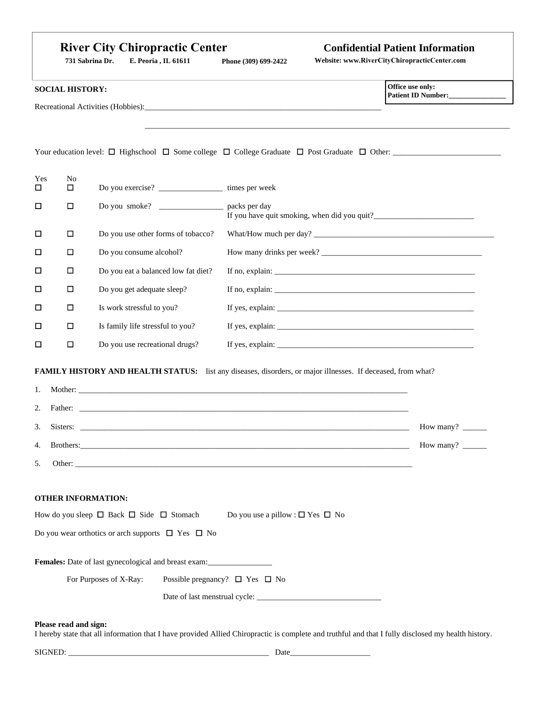|          | 731 Sabrina Dr.           | <b>River City Chiropractic Center</b><br>E. Peoria, IL 61611                                                           | Phone (309) 699-2422                       | Website: www.RiverCityChiropracticCenter.com                                                                                                                                                                                                                                                                                                                                                         | <b>Confidential Patient Information</b>              |
|----------|---------------------------|------------------------------------------------------------------------------------------------------------------------|--------------------------------------------|------------------------------------------------------------------------------------------------------------------------------------------------------------------------------------------------------------------------------------------------------------------------------------------------------------------------------------------------------------------------------------------------------|------------------------------------------------------|
|          | <b>SOCIAL HISTORY:</b>    |                                                                                                                        |                                            |                                                                                                                                                                                                                                                                                                                                                                                                      | Office use only:<br>Patient ID Number:______________ |
|          |                           |                                                                                                                        |                                            |                                                                                                                                                                                                                                                                                                                                                                                                      |                                                      |
|          |                           |                                                                                                                        |                                            |                                                                                                                                                                                                                                                                                                                                                                                                      |                                                      |
|          |                           | Your education level: $\Box$ Highschool $\Box$ Some college $\Box$ College Graduate $\Box$ Post Graduate $\Box$ Other: |                                            |                                                                                                                                                                                                                                                                                                                                                                                                      |                                                      |
| Yes<br>0 | No                        | Do you exercise? _______________________ times per week                                                                |                                            |                                                                                                                                                                                                                                                                                                                                                                                                      |                                                      |
| □        | 0                         | Do you smoke?                                                                                                          | packs per day                              |                                                                                                                                                                                                                                                                                                                                                                                                      |                                                      |
| □        | о                         | Do you use other forms of tobacco?                                                                                     |                                            |                                                                                                                                                                                                                                                                                                                                                                                                      |                                                      |
| □        | 0                         | Do you consume alcohol?                                                                                                |                                            |                                                                                                                                                                                                                                                                                                                                                                                                      |                                                      |
| □        | □                         | Do you eat a balanced low fat diet?                                                                                    |                                            | If no, explain: $\frac{1}{\sqrt{1-\frac{1}{2}}\sqrt{1-\frac{1}{2}}\sqrt{1-\frac{1}{2}}\sqrt{1-\frac{1}{2}}\sqrt{1-\frac{1}{2}}\sqrt{1-\frac{1}{2}}\sqrt{1-\frac{1}{2}}\sqrt{1-\frac{1}{2}}\sqrt{1-\frac{1}{2}}\sqrt{1-\frac{1}{2}}\sqrt{1-\frac{1}{2}}\sqrt{1-\frac{1}{2}}\sqrt{1-\frac{1}{2}}\sqrt{1-\frac{1}{2}}\sqrt{1-\frac{1}{2}}\sqrt{1-\frac{1}{2}}\sqrt{1-\frac{1}{2}}\sqrt{1-\frac{1}{2}}\$ |                                                      |
| □        | 0                         | Do you get adequate sleep?                                                                                             |                                            |                                                                                                                                                                                                                                                                                                                                                                                                      |                                                      |
| □        | 0                         | Is work stressful to you?                                                                                              |                                            | If yes, explain: $\frac{1}{2}$ = $\frac{1}{2}$ = $\frac{1}{2}$ = $\frac{1}{2}$ = $\frac{1}{2}$ = $\frac{1}{2}$ = $\frac{1}{2}$ = $\frac{1}{2}$ = $\frac{1}{2}$ = $\frac{1}{2}$ = $\frac{1}{2}$ = $\frac{1}{2}$ = $\frac{1}{2}$ = $\frac{1}{2}$ = $\frac{1}{2}$ = $\frac{1}{2}$ = $\frac{1}{2}$ =                                                                                                     |                                                      |
| □        | 0                         | Is family life stressful to you?                                                                                       |                                            | If yes, explain: $\frac{1}{2}$ = $\frac{1}{2}$ = $\frac{1}{2}$ = $\frac{1}{2}$ = $\frac{1}{2}$ = $\frac{1}{2}$ = $\frac{1}{2}$ = $\frac{1}{2}$ = $\frac{1}{2}$ = $\frac{1}{2}$ = $\frac{1}{2}$ = $\frac{1}{2}$ = $\frac{1}{2}$ = $\frac{1}{2}$ = $\frac{1}{2}$ = $\frac{1}{2}$ = $\frac{1}{2}$ =                                                                                                     |                                                      |
| □        | о                         | Do you use recreational drugs?                                                                                         |                                            | If yes, explain: $\sqrt{\frac{1}{2} \sum_{r=1}^{r} (r - 1)^r}$                                                                                                                                                                                                                                                                                                                                       |                                                      |
|          |                           | FAMILY HISTORY AND HEALTH STATUS: list any diseases, disorders, or major illnesses. If deceased, from what?            |                                            |                                                                                                                                                                                                                                                                                                                                                                                                      |                                                      |
| 1.       |                           |                                                                                                                        |                                            |                                                                                                                                                                                                                                                                                                                                                                                                      |                                                      |
| 2.       |                           |                                                                                                                        |                                            |                                                                                                                                                                                                                                                                                                                                                                                                      |                                                      |
| 3.       |                           | Sisters:                                                                                                               |                                            |                                                                                                                                                                                                                                                                                                                                                                                                      | How many?                                            |
| 4.       |                           |                                                                                                                        |                                            |                                                                                                                                                                                                                                                                                                                                                                                                      | How many? $\_\_$                                     |
| 5.       |                           |                                                                                                                        |                                            |                                                                                                                                                                                                                                                                                                                                                                                                      |                                                      |
|          |                           |                                                                                                                        |                                            |                                                                                                                                                                                                                                                                                                                                                                                                      |                                                      |
|          | <b>OTHER INFORMATION:</b> |                                                                                                                        |                                            |                                                                                                                                                                                                                                                                                                                                                                                                      |                                                      |
|          |                           | How do you sleep $\Box$ Back $\Box$ Side $\Box$ Stomach                                                                | Do you use a pillow : $\Box$ Yes $\Box$ No |                                                                                                                                                                                                                                                                                                                                                                                                      |                                                      |
|          |                           | Do you wear orthotics or arch supports $\Box$ Yes $\Box$ No                                                            |                                            |                                                                                                                                                                                                                                                                                                                                                                                                      |                                                      |
|          |                           | Females: Date of last gynecological and breast exam:                                                                   |                                            |                                                                                                                                                                                                                                                                                                                                                                                                      |                                                      |
|          |                           | For Purposes of X-Ray:                                                                                                 | Possible pregnancy? $\Box$ Yes $\Box$ No   |                                                                                                                                                                                                                                                                                                                                                                                                      |                                                      |
|          |                           |                                                                                                                        |                                            |                                                                                                                                                                                                                                                                                                                                                                                                      |                                                      |
|          |                           |                                                                                                                        |                                            |                                                                                                                                                                                                                                                                                                                                                                                                      |                                                      |

### **Please read and sign:**

I hereby state that all information that I have provided Allied Chiropractic is complete and truthful and that I fully disclosed my health history.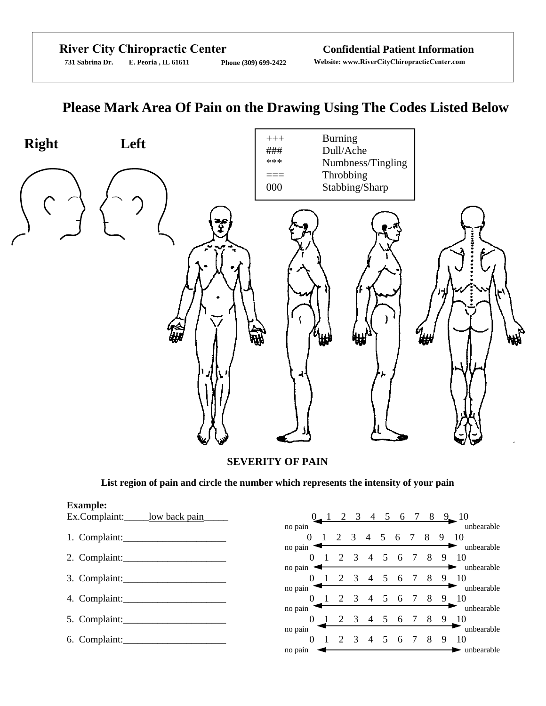# **Please Mark Area Of Pain on the Drawing Using The Codes Listed Below**



**SEVERITY OF PAIN** 

**List region of pain and circle the number which represents the intensity of your pain** 

| <b>Example:</b>                |          |                      |                                 |   |   |   |            |
|--------------------------------|----------|----------------------|---------------------------------|---|---|---|------------|
| Ex.Complaint:<br>low back pain |          | $2 \quad 3$          | $4\quad 5\quad 6\quad 7\quad 8$ |   |   |   | 9, 10      |
|                                | no pain  |                      |                                 |   |   |   | unbearable |
| 1. Complaint:                  |          | 2<br>3               | 5<br>$\overline{4}$             | 6 | 8 | 9 | 10         |
|                                | no pain  |                      |                                 |   |   |   | unbearable |
| 2. Complaint:                  | $\theta$ | $\overline{2}$<br>-3 | $\overline{4}$<br>5             | 6 | 8 | 9 | 10         |
|                                | no pain  |                      |                                 |   |   |   | unbearable |
| 3. Complaint:                  |          | 3                    | 5<br>4                          | 6 | 8 | 9 | 10         |
|                                | no pain  |                      |                                 |   |   |   | unbearable |
| 4. Complaint:                  |          | 2<br>3               | 4<br>5                          | 6 | 8 | 9 | 10         |
|                                | no pain  |                      |                                 |   |   |   | unbearable |
| 5. Complaint:                  |          | 2<br>3               | 4<br>5                          | 6 | 8 | 9 | 10         |
|                                | no pain  |                      |                                 |   |   |   | unbearable |
| 6. Complaint:                  | $\Omega$ | 3                    | 5<br>4                          | 6 | 8 | 9 | 10         |
|                                | no pain  |                      |                                 |   |   |   | unbearable |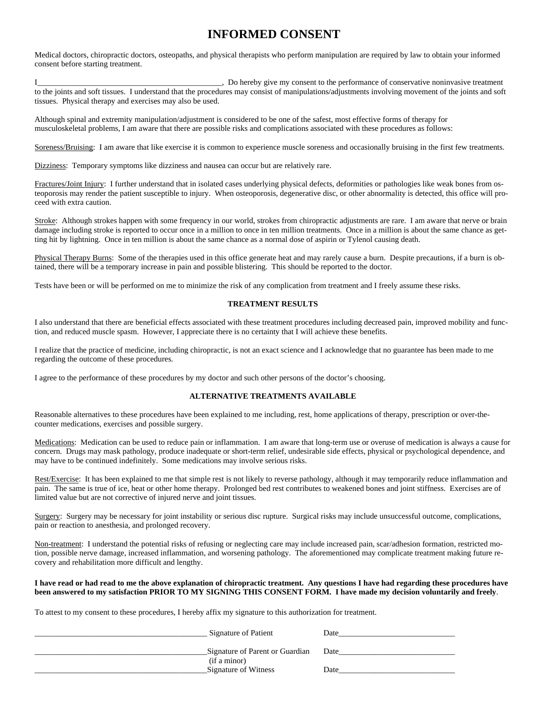## **INFORMED CONSENT**

Medical doctors, chiropractic doctors, osteopaths, and physical therapists who perform manipulation are required by law to obtain your informed consent before starting treatment.

I\_\_\_\_\_\_\_\_\_\_\_\_\_\_\_\_\_\_\_\_\_\_\_\_\_\_\_\_\_\_\_\_\_\_\_\_\_\_\_\_\_\_\_\_\_\_, Do hereby give my consent to the performance of conservative noninvasive treatment to the joints and soft tissues. I understand that the procedures may consist of manipulations/adjustments involving movement of the joints and soft tissues. Physical therapy and exercises may also be used.

Although spinal and extremity manipulation/adjustment is considered to be one of the safest, most effective forms of therapy for musculoskeletal problems, I am aware that there are possible risks and complications associated with these procedures as follows:

Soreness/Bruising: I am aware that like exercise it is common to experience muscle soreness and occasionally bruising in the first few treatments.

Dizziness: Temporary symptoms like dizziness and nausea can occur but are relatively rare.

Fractures/Joint Injury: I further understand that in isolated cases underlying physical defects, deformities or pathologies like weak bones from osteoporosis may render the patient susceptible to injury. When osteoporosis, degenerative disc, or other abnormality is detected, this office will proceed with extra caution.

Stroke: Although strokes happen with some frequency in our world, strokes from chiropractic adjustments are rare. I am aware that nerve or brain damage including stroke is reported to occur once in a million to once in ten million treatments. Once in a million is about the same chance as getting hit by lightning. Once in ten million is about the same chance as a normal dose of aspirin or Tylenol causing death.

Physical Therapy Burns: Some of the therapies used in this office generate heat and may rarely cause a burn. Despite precautions, if a burn is obtained, there will be a temporary increase in pain and possible blistering. This should be reported to the doctor.

Tests have been or will be performed on me to minimize the risk of any complication from treatment and I freely assume these risks.

#### **TREATMENT RESULTS**

I also understand that there are beneficial effects associated with these treatment procedures including decreased pain, improved mobility and function, and reduced muscle spasm. However, I appreciate there is no certainty that I will achieve these benefits.

I realize that the practice of medicine, including chiropractic, is not an exact science and I acknowledge that no guarantee has been made to me regarding the outcome of these procedures.

I agree to the performance of these procedures by my doctor and such other persons of the doctor's choosing.

#### **ALTERNATIVE TREATMENTS AVAILABLE**

Reasonable alternatives to these procedures have been explained to me including, rest, home applications of therapy, prescription or over-thecounter medications, exercises and possible surgery.

Medications: Medication can be used to reduce pain or inflammation. I am aware that long-term use or overuse of medication is always a cause for concern. Drugs may mask pathology, produce inadequate or short-term relief, undesirable side effects, physical or psychological dependence, and may have to be continued indefinitely. Some medications may involve serious risks.

Rest/Exercise: It has been explained to me that simple rest is not likely to reverse pathology, although it may temporarily reduce inflammation and pain. The same is true of ice, heat or other home therapy. Prolonged bed rest contributes to weakened bones and joint stiffness. Exercises are of limited value but are not corrective of injured nerve and joint tissues.

Surgery: Surgery may be necessary for joint instability or serious disc rupture. Surgical risks may include unsuccessful outcome, complications, pain or reaction to anesthesia, and prolonged recovery.

Non-treatment: I understand the potential risks of refusing or neglecting care may include increased pain, scar/adhesion formation, restricted motion, possible nerve damage, increased inflammation, and worsening pathology. The aforementioned may complicate treatment making future recovery and rehabilitation more difficult and lengthy.

#### **I have read or had read to me the above explanation of chiropractic treatment. Any questions I have had regarding these procedures have been answered to my satisfaction PRIOR TO MY SIGNING THIS CONSENT FORM. I have made my decision voluntarily and freely**.

To attest to my consent to these procedures, I hereby affix my signature to this authorization for treatment.

| Signature of Patient                 | Date |
|--------------------------------------|------|
| Signature of Parent or Guardian      | Date |
| (if a minor)<br>Signature of Witness | Date |
|                                      |      |